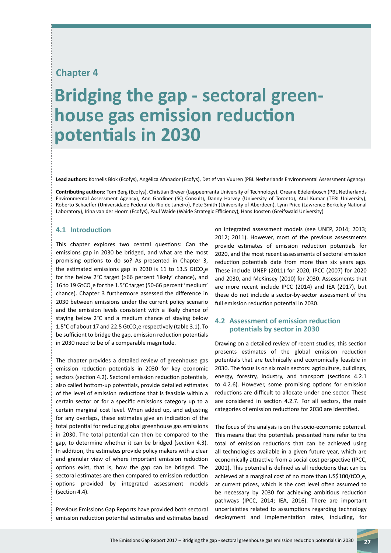# **Chapter 4**

# **Bridging the gap - sectoral green- house gas emission reduction potentials in 2030**

**Lead authors:** Kornelis Blok (Ecofys), Angélica Afanador (Ecofys), Detlef van Vuuren (PBL Netherlands Environmental Assessment Agency)

**Contributing authors:** Tom Berg (Ecofys), Christian Breyer (Lappeenranta University of Technology), Oreane Edelenbosch (PBL Netherlands Environmental Assessment Agency), Ann Gardiner (SQ Consult), Danny Harvey (University of Toronto), Atul Kumar (TERI University), Roberto Schaeffer (Universidade Federal do Rio de Janeiro), Pete Smith (University of Aberdeen), Lynn Price (Lawrence Berkeley National Laboratory), Irina van der Hoorn (Ecofys), Paul Waide (Waide Strategic Efficiency), Hans Joosten (Greifswald University)

#### **4.1 Introduction**

This chapter explores two central questions: Can the emissions gap in 2030 be bridged, and what are the most promising options to do so? As presented in Chapter 3, the estimated emissions gap in 2030 is 11 to 13.5  $GtCO<sub>2</sub>e$ for the below 2°C target (>66 percent 'likely' chance), and 16 to 19 GtCO<sub>2</sub>e for the 1.5°C target (50-66 percent 'medium' chance). Chapter 3 furthermore assessed the difference in 2030 between emissions under the current policy scenario and the emission levels consistent with a likely chance of staying below 2°C and a medium chance of staying below 1.5°C of about 17 and 22.5 GtCO<sub>2</sub>e respectively (table 3.1). To be sufficient to bridge the gap, emission reduction potentials in 2030 need to be of a comparable magnitude.

The chapter provides a detailed review of greenhouse gas emission reduction potentials in 2030 for key economic sectors (section 4.2). Sectoral emission reduction potentials, also called bottom-up potentials, provide detailed estimates of the level of emission reductions that is feasible within a certain sector or for a specific emissions category up to a certain marginal cost level. When added up, and adjusting for any overlaps, these estimates give an indication of the total potential for reducing global greenhouse gas emissions in 2030. The total potential can then be compared to the gap, to determine whether it can be bridged (section 4.3). In addition, the estimates provide policy makers with a clear and granular view of where important emission reduction options exist, that is, how the gap can be bridged. The sectoral estimates are then compared to emission reduction options provided by integrated assessment models (section 4.4).

Previous Emissions Gap Reports have provided both sectoral emission reduction potential estimates and estimates based on integrated assessment models (see UNEP, 2014; 2013; 2012; 2011). However, most of the previous assessments provide estimates of emission reduction potentials for 2020, and the most recent assessments of sectoral emission reduction potentials date from more than six years ago. These include UNEP (2011) for 2020, IPCC (2007) for 2020 and 2030, and McKinsey (2010) for 2030. Assessments that are more recent include IPCC (2014) and IEA (2017), but these do not include a sector-by-sector assessment of the full emission reduction potential in 2030.

## **4.2 Assessment of emission reduction potentials by sector in 2030**

Drawing on a detailed review of recent studies, this section presents estimates of the global emission reduction potentials that are technically and economically feasible in 2030. The focus is on six main sectors: agriculture, buildings, energy, forestry, industry, and transport (sections 4.2.1 to 4.2.6). However, some promising options for emission reductions are difficult to allocate under one sector. These are considered in section 4.2.7. For all sectors, the main categories of emission reductions for 2030 are identified.

The focus of the analysis is on the socio-economic potential. This means that the potentials presented here refer to the total of emission reductions that can be achieved using all technologies available in a given future year, which are economically attractive from a social cost perspective (IPCC, 2001). This potential is defined as all reductions that can be achieved at a marginal cost of no more than US\$100/tCO<sub>2</sub>e, at current prices, which is the cost level often assumed to be necessary by 2030 for achieving ambitious reduction pathways (IPCC, 2014; IEA, 2016). There are important uncertainties related to assumptions regarding technology deployment and implementation rates, including, for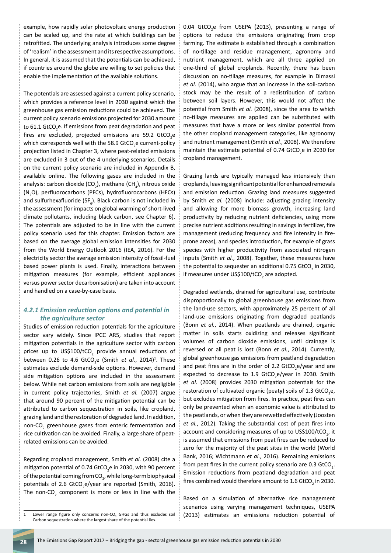example, how rapidly solar photovoltaic energy production can be scaled up, and the rate at which buildings can be retrofitted. The underlying analysis introduces some degree of 'realism' in the assessment and its respective assumptions. In general, it is assumed that the potentials can be achieved, if countries around the globe are willing to set policies that enable the implementation of the available solutions.

The potentials are assessed against a current policy scenario, which provides a reference level in 2030 against which the greenhouse gas emission reductions could be achieved. The current policy scenario emissions projected for 2030 amount to 61.1 GtCO<sub>2</sub>e. If emissions from peat degradation and peat fires are excluded, projected emissions are 59.2  $GtCO<sub>2</sub>e$ which corresponds well with the 58.9 GtCO<sub>2</sub>e current-policy projection listed in Chapter 3, where peat-related emissions are excluded in 3 out of the 4 underlying scenarios. Details on the current policy scenario are included in Appendix B, available online. The following gases are included in the analysis: carbon dioxide (CO<sub>2</sub>), methane (CH<sub>4</sub>), nitrous oxide (N<sub>2</sub>O), perfluorocarbons (PFCs), hydrofluorocarbons (HFCs) and sulfurhexafluoride (SF<sub>6</sub>). Black carbon is not included in the assessment (for impacts on global warming of short-lived climate pollutants, including black carbon, see Chapter 6). The potentials are adjusted to be in line with the current policy scenario used for this chapter. Emission factors are based on the average global emission intensities for 2030 from the World Energy Outlook 2016 (IEA, 2016). For the electricity sector the average emission intensity of fossil-fuel based power plants is used. Finally, interactions between mitigation measures (for example, efficient appliances versus power sector decarbonisation) are taken into account and handled on a case-by-case basis.

#### *4.2.1 Emission reduction options and potential in the agriculture sector*

Studies of emission reduction potentials for the agriculture sector vary widely. Since IPCC AR5, studies that report mitigation potentials in the agriculture sector with carbon prices up to US\$100/tCO<sub>2</sub> provide annual reductions of between 0.26 to 4.6 GtCO<sub>2</sub>e (Smith *et al.*, 2014)<sup>1</sup>. These estimates exclude demand-side options. However, demand side mitigation options are included in the assessment below. While net carbon emissions from soils are negligible in current policy trajectories, Smith *et al.* (2007) argue that around 90 percent of the mitigation potential can be attributed to carbon sequestration in soils, like cropland, grazing land and the restoration of degraded land. In addition, non-CO<sub>2</sub> greenhouse gases from enteric fermentation and rice cultivation can be avoided. Finally, a large share of peatrelated emissions can be avoided.

Regarding cropland management, Smith *et al.* (2008) cite a mitigation potential of 0.74 GtCO<sub>2</sub>e in 2030, with 90 percent of the potential coming from CO<sub>2</sub>, while long-term biophysical potentials of 2.6 GtCO<sub>2</sub>e/year are reported (Smith, 2016). The non-CO<sub>2</sub> component is more or less in line with the

0.04  $GtCO<sub>2</sub>e$  from USEPA (2013), presenting a range of options to reduce the emissions originating from crop farming. The estimate is established through a combination of no-tillage and residue management, agronomy and nutrient management, which are all three applied on one-third of global croplands. Recently, there has been discussion on no-tillage measures, for example in Dimassi *et al.* (2014), who argue that an increase in the soil-carbon stock may be the result of a redistribution of carbon between soil layers. However, this would not affect the potential from Smith *et al.* (2008), since the area to which no-tillage measures are applied can be substituted with measures that have a more or less similar potential from the other cropland management categories, like agronomy and nutrient management (Smith *et al.*, 2008). We therefore maintain the estimate potential of 0.74  $GtCO<sub>2</sub>e$  in 2030 for cropland management.

Grazing lands are typically managed less intensively than croplands, leaving significant potential for enhanced removals and emission reduction. Grazing land measures suggested by Smith *et al.* (2008) include: adjusting grazing intensity and allowing for more biomass growth, increasing land productivity by reducing nutrient deficiencies, using more precise nutrient additions resulting in savings in fertilizer, fire management (reducing frequency and fire intensity in fireprone areas), and species introduction, for example of grass species with higher productivity from associated nitrogen inputs (Smith *et al.*, 2008). Together, these measures have the potential to sequester an additional 0.75  $GtCO<sub>2</sub>$  in 2030, if measures under US\$100/tCO<sub>2</sub> are adopted.

Degraded wetlands, drained for agricultural use, contribute disproportionally to global greenhouse gas emissions from the land-use sectors, with approximately 25 percent of all land-use emissions originating from degraded peatlands (Bonn *et al.*, 2014). When peatlands are drained, organic matter in soils starts oxidizing and releases significant volumes of carbon dioxide emissions, until drainage is reversed or all peat is lost (Bonn *et al.*, 2014). Currently, global greenhouse gas emissions from peatland degradation and peat fires are in the order of 2.2  $GtCO<sub>2</sub>e/year$  and are expected to decrease to 1.9  $G_{2}e/year$  in 2030. Smith *et al.* (2008) provides 2030 mitigation potentials for the restoration of cultivated organic (peaty) soils of 1.3 GtCO<sub>2</sub>e, but excludes mitigation from fires. In practice, peat fires can only be prevented when an economic value is attributed to the peatlands, or when they are rewetted effectively (Joosten *et al.*, 2012). Taking the substantial cost of peat fires into account and considering measures of up to US\$100/tCO<sub>2</sub>, it is assumed that emissions from peat fires can be reduced to zero for the majority of the peat sites in the world (World Bank, 2016; Wichtmann *et al.*, 2016). Remaining emissions from peat fires in the current policy scenario are 0.3  $GtCO<sub>2</sub>$ . Emission reductions from peatland degradation and peat fires combined would therefore amount to 1.6  $G<sub>2</sub>$  in 2030.

Based on a simulation of alternative rice management scenarios using varying management techniques, USEPA (2013) estimates an emissions reduction potential of

<sup>1</sup> Lower range figure only concerns non-CO<sub>2</sub> GHGs and thus excludes soil Carbon sequestration where the largest share of the potential lies.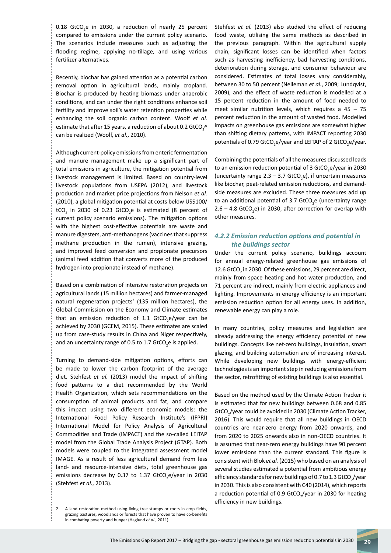$0.18$  GtCO<sub>2</sub>e in 2030, a reduction of nearly 25 percent compared to emissions under the current policy scenario. The scenarios include measures such as adjusting the flooding regime, applying no-tillage, and using various fertilizer alternatives.

Recently, biochar has gained attention as a potential carbon removal option in agricultural lands, mainly cropland. Biochar is produced by heating biomass under anaerobic conditions, and can under the right conditions enhance soil fertility and improve soil's water retention properties while enhancing the soil organic carbon content. Woolf *et al.* estimate that after 15 years, a reduction of about 0.2 GtCO<sub>2</sub>e can be realized (Woolf, *et al.*, 2010).

Although current-policy emissions from enteric fermentation and manure management make up a significant part of total emissions in agriculture, the mitigation potential from livestock management is limited. Based on country-level livestock populations from USEPA (2012), and livestock production and market price projections from Nelson *et al.* (2010), a global mitigation potential at costs below US\$100/  $\mathsf{tCO}_2$  in 2030 of 0.23  $\mathsf{GtCO}_2$ e is estimated (8 percent of current policy scenario emissions). The mitigation options with the highest cost-effective potentials are waste and manure digesters, anti-methanogens (vaccines that suppress methane production in the rumen), intensive grazing, and improved feed conversion and propionate precursors (animal feed addition that converts more of the produced hydrogen into propionate instead of methane).

Based on a combination of intensive restoration projects on agricultural lands (15 million hectares) and farmer-managed natural regeneration projects<sup>2</sup> (135 million hectares), the Global Commission on the Economy and Climate estimates that an emission reduction of 1.1  $GCO<sub>2</sub>e/year$  can be achieved by 2030 (GCEM, 2015). These estimates are scaled up from case-study results in China and Niger respectively, and an uncertainty range of 0.5 to 1.7 GtCO<sub>2</sub>e is applied.

Turning to demand-side mitigation options, efforts can be made to lower the carbon footprint of the average diet. Stehfest *et al.* (2013) model the impact of shifting food patterns to a diet recommended by the World Health Organization, which sets recommendations on the consumption of animal products and fat, and compare this impact using two different economic models: the International Food Policy Research Institute's (IFPRI) International Model for Policy Analysis of Agricultural Commodities and Trade (IMPACT) and the so-called LEITAP model from the Global Trade Analysis Project (GTAP). Both models were coupled to the integrated assessment model IMAGE. As a result of less agricultural demand from less land- and resource-intensive diets, total greenhouse gas emissions decrease by 0.37 to 1.37 GtCO<sub>2</sub>e/year in 2030 (Stehfest *et al.*, 2013).

2 A land restoration method using living tree stumps or roots in crop fields, grazing pastures, woodlands or forests that have proven to have co-benefits in combating poverty and hunger (Haglund *et al.*, 2011).

Stehfest *et al.* (2013) also studied the effect of reducing food waste, utilising the same methods as described in the previous paragraph. Within the agricultural supply chain, significant losses can be identified when factors such as harvesting inefficiency, bad harvesting conditions, deterioration during storage, and consumer behaviour are considered. Estimates of total losses vary considerably, between 30 to 50 percent (Nelleman *et al.*, 2009; Lundqvist, 2009), and the effect of waste reduction is modelled at a 15 percent reduction in the amount of food needed to meet similar nutrition levels, which requires a  $45 - 75$ percent reduction in the amount of wasted food. Modelled impacts on greenhouse gas emissions are somewhat higher than shifting dietary patterns, with IMPACT reporting 2030 potentials of 0.79 GtCO<sub>2</sub>e/year and LEITAP of 2 GtCO<sub>2</sub>e/year.

Combining the potentials of all the measures discussed leads to an emission reduction potential of 3 GtCO<sub>2</sub>e/year in 2030 (uncertainty range  $2.3 - 3.7$  GtCO<sub>2</sub>e), if uncertain measures like biochar, peat-related emission reductions, and demandside measures are excluded. These three measures add up to an additional potential of 3.7 GtCO<sub>2</sub>e (uncertainty range  $2.6 - 4.8$  GtCO<sub>2</sub>e) in 2030, after correction for overlap with other measures.

#### *4.2.2 Emission reduction options and potential in the buildings sector*

Under the current policy scenario, buildings account for annual energy-related greenhouse gas emissions of 12.6 GtCO<sub>2</sub> in 2030. Of these emissions, 29 percent are direct, mainly from space heating and hot water production, and 71 percent are indirect, mainly from electric appliances and lighting. Improvements in energy efficiency is an important emission reduction option for all energy uses. In addition, renewable energy can play a role.

In many countries, policy measures and legislation are already addressing the energy efficiency potential of new buildings. Concepts like net-zero buildings, insulation, smart glazing, and building automation are of increasing interest. While developing new buildings with energy-efficient technologies is an important step in reducing emissions from the sector, retrofitting of existing buildings is also essential.

Based on the method used by the Climate Action Tracker it is estimated that for new buildings between 0.68 and 0.85 GtCO<sub>2</sub>/year could be avoided in 2030 (Climate Action Tracker, 2016). This would require that all new buildings in OECD countries are near-zero energy from 2020 onwards, and from 2020 to 2025 onwards also in non-OECD countries. It is assumed that near-zero energy buildings have 90 percent lower emissions than the current standard. This figure is consistent with Blok *et al.* (2015) who based on an analysis of several studies estimated a potential from ambitious energy efficiency standards for new buildings of 0.7 to 1.3 GtCO $_2$ /year in 2030. This is also consistent with C40 (2014), which reports a reduction potential of 0.9 GtCO<sub>2</sub>/year in 2030 for heating efficiency in new buildings.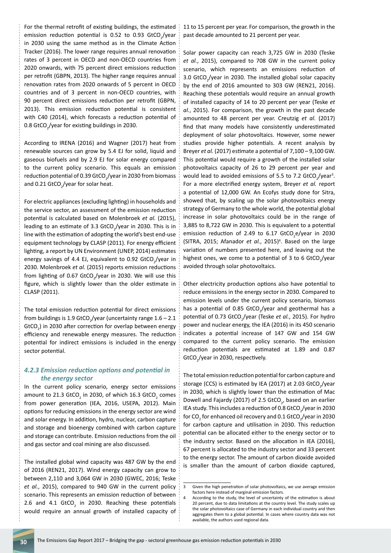For the thermal retrofit of existing buildings, the estimated emission reduction potential is 0.52 to 0.93  $GtCO_{2}/year$ in 2030 using the same method as in the Climate Action Tracker (2016). The lower range requires annual renovation rates of 3 percent in OECD and non-OECD countries from 2020 onwards, with 75 percent direct emissions reduction per retrofit (GBPN, 2013). The higher range requires annual renovation rates from 2020 onwards of 5 percent in OECD countries and of 3 percent in non-OECD countries, with 90 percent direct emissions reduction per retrofit (GBPN, 2013). This emission reduction potential is consistent with C40 (2014), which forecasts a reduction potential of 0.8 GtCO<sub>2</sub>/year for existing buildings in 2030.

According to IRENA (2016) and Wagner (2017) heat from renewable sources can grow by 5.4 EJ for solid, liquid and gaseous biofuels and by 2.9 EJ for solar energy compared to the current policy scenario. This equals an emission reduction potential of 0.39 GtCO<sub>2</sub>/year in 2030 from biomass and 0.21 GtCO<sub>2</sub>/year for solar heat.

For electric appliances (excluding lighting) in households and the service sector, an assessment of the emission reduction potential is calculated based on Molenbroek *et al.* (2015), leading to an estimate of 3.3 GtCO<sub>2</sub>/year in 2030. This is in line with the estimation of adopting the world's best end-use equipment technology by CLASP (2011). For energy efficient lighting, a report by UN Environment (UNEP, 2014) estimates energy savings of 4.4 EJ, equivalent to 0.92 GtCO<sub>2</sub>/year in 2030. Molenbroek *et al.* (2015) reports emission reductions from lighting of 0.67  $GtCO_2$ /year in 2030. We will use this figure, which is slightly lower than the older estimate in CLASP (2011).

The total emission reduction potential for direct emissions from buildings is 1.9 GtCO<sub>2</sub>/year (uncertainty range  $1.6 - 2.1$  $G<sub>1</sub>$  GtCO<sub>2</sub>) in 2030 after correction for overlap between energy efficiency and renewable energy measures. The reduction potential for indirect emissions is included in the energy sector potential.

#### *4.2.3 Emission reduction options and potential in the energy sector*

In the current policy scenario, energy sector emissions amount to 21.3 GtCO<sub>2</sub> in 2030, of which 16.3 GtCO<sub>2</sub> comes from power generation (IEA, 2016, USEPA, 2012). Main options for reducing emissions in the energy sector are wind and solar energy. In addition, hydro, nuclear, carbon capture and storage and bioenergy combined with carbon capture and storage can contribute. Emission reductions from the oil and gas sector and coal mining are also discussed.

The installed global wind capacity was 487 GW by the end of 2016 (REN21, 2017). Wind energy capacity can grow to between 2,110 and 3,064 GW in 2030 (GWEC, 2016; Teske *et al.*, 2015), compared to 940 GW in the current policy scenario. This represents an emission reduction of between 2.6 and 4.1  $GtCO<sub>2</sub>$  in 2030. Reaching these potentials would require an annual growth of installed capacity of

11 to 15 percent per year. For comparison, the growth in the past decade amounted to 21 percent per year.

Solar power capacity can reach 3,725 GW in 2030 (Teske *et al.*, 2015), compared to 708 GW in the current policy scenario, which represents an emissions reduction of  $3.0$  GtCO<sub>2</sub>/year in 2030. The installed global solar capacity by the end of 2016 amounted to 303 GW (REN21, 2016). Reaching these potentials would require an annual growth of installed capacity of 14 to 20 percent per year (Teske *et al.*, 2015). For comparison, the growth in the past decade amounted to 48 percent per year. Creutzig *et al.* (2017) find that many models have consistently underestimated deployment of solar photovoltaics. However, some newer studies provide higher potentials. A recent analysis by Breyer *et al.* (2017) estimate a potential of 7,100 – 9,100 GW. This potential would require a growth of the installed solar photovoltaics capacity of 26 to 29 percent per year and would lead to avoided emissions of 5.5 to 7.2  $GtCO<sub>2</sub>/year<sup>3</sup>$ . For a more electrified energy system, Breyer *et al.* report a potential of 12,000 GW. An Ecofys study done for Sitra, showed that, by scaling up the solar photovoltaics energy strategy of Germany to the whole world, the potential global increase in solar photovoltaics could be in the range of 3,885 to 8,722 GW in 2030. This is equivalent to a potential emission reduction of 2.49 to  $6.17$  GtCO<sub>2</sub>e/year in 2030 (SITRA, 2015; Afanador et al., 2015)<sup>4</sup>. Based on the large variation of numbers presented here, and leaving out the highest ones, we come to a potential of 3 to 6  $GtCO_{2}/year$ avoided through solar photovoltaics.

Other electricity production options also have potential to reduce emissions in the energy sector in 2030. Compared to emission levels under the current policy scenario, biomass has a potential of 0.85  $GtCO<sub>2</sub>/year$  and geothermal has a potential of 0.73 GtCO<sub>2</sub>/year (Teske et al., 2015). For hydro power and nuclear energy, the IEA (2016) in its 450 scenario indicates a potential increase of 147 GW and 154 GW compared to the current policy scenario. The emission reduction potentials are estimated at 1.89 and 0.87  $GtCO_2$ /year in 2030, respectively.

The total emission reduction potential for carbon capture and storage (CCS) is estimated by IEA (2017) at 2.03 GtCO<sub>2</sub>/year in 2030, which is slightly lower than the estimation of Mac Dowell and Fajardy (2017) of 2.5  $G<sub>1</sub>$ , based on an earlier IEA study. This includes a reduction of 0.8 GtCO<sub>2</sub>/year in 2030 for CO<sub>2</sub> for enhanced oil recovery and 0.1 GtCO<sub>2</sub>/year in 2030 for carbon capture and utilisation in 2030. This reduction potential can be allocated either to the energy sector or to the industry sector. Based on the allocation in IEA (2016), 67 percent is allocated to the industry sector and 33 percent to the energy sector. The amount of carbon dioxide avoided is smaller than the amount of carbon dioxide captured,

<sup>3</sup> Given the high penetration of solar photovoltaics, we use average emission factors here instead of marginal emission factors.

<sup>4</sup> According to the study, the level of uncertainty of the estimation is about 20 percent, due to data limitations at the country level. The study scales up the solar photovoltaics case of Germany in each individual country and then aggregates them to a global potential. In cases where country data was not available, the authors used regional data.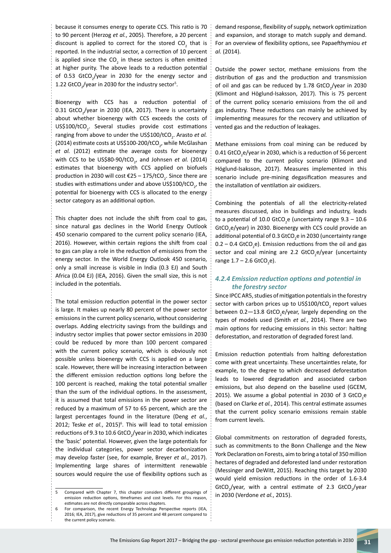because it consumes energy to operate CCS. This ratio is 70 to 90 percent (Herzog *et al.*, 2005). Therefore, a 20 percent discount is applied to correct for the stored  $CO_2$  that is reported. In the industrial sector, a correction of 10 percent is applied since the  $CO<sub>2</sub>$  in these sectors is often emitted at higher purity. The above leads to a reduction potential of 0.53  $GtCO<sub>2</sub>/year$  in 2030 for the energy sector and 1.22  $GtCO<sub>2</sub>/year$  in 2030 for the industry sector<sup>5</sup>.

Bioenergy with CCS has a reduction potential of 0.31 GtCO<sub>2</sub>/year in 2030 (IEA, 2017). There is uncertainty about whether bioenergy with CCS exceeds the costs of  $US$100/tCO<sub>2</sub>$ . Several studies provide cost estimations ranging from above to under the US\$100/tCO<sub>2</sub>. Arasto et al. (2014) estimate costs at US\$100-200/tCO<sub>2</sub>, while McGlashan *et al.* (2012) estimate the average costs for bioenergy with CCS to be US\$80-90/tCO<sub>2</sub>, and Johnsen *et al.* (2014) estimates that bioenergy with CCS applied on biofuels production in 2030 will cost  $\epsilon$ 25 – 175/tCO<sub>2</sub>. Since there are studies with estimations under and above US\$100/tCO<sub>2</sub>, the potential for bioenergy with CCS is allocated to the energy sector category as an additional option.

This chapter does not include the shift from coal to gas, since natural gas declines in the World Energy Outlook 450 scenario compared to the current policy scenario (IEA, 2016). However, within certain regions the shift from coal to gas can play a role in the reduction of emissions from the energy sector. In the World Energy Outlook 450 scenario, only a small increase is visible in India (0.3 EJ) and South Africa (0.04 EJ) (IEA, 2016). Given the small size, this is not included in the potentials.

The total emission reduction potential in the power sector is large. It makes up nearly 80 percent of the power sector emissions in the current policy scenario, without considering overlaps. Adding electricity savings from the buildings and industry sector implies that power sector emissions in 2030 could be reduced by more than 100 percent compared with the current policy scenario, which is obviously not possible unless bioenergy with CCS is applied on a large scale. However, there will be increasing interaction between the different emission reduction options long before the 100 percent is reached, making the total potential smaller than the sum of the individual options. In the assessment, it is assumed that total emissions in the power sector are reduced by a maximum of 57 to 65 percent, which are the largest percentages found in the literature (Deng *et al.*, 2012; Teske et al., 2015)<sup>6</sup>. This will lead to total emission reductions of 9.3 to 10.6 GtCO<sub>2</sub>/year in 2030, which indicates the 'basic' potential. However, given the large potentials for the individual categories, power sector decarbonization may develop faster (see, for example, Breyer *et al.*, 2017). Implementing large shares of intermittent renewable sources would require the use of flexibility options such as

5 Compared with Chapter 7, this chapter considers different groupings of emission reduction options, timeframes and cost levels. For this reason, estimates are not directly comparable across chapters.

demand response, flexibility of supply, network optimization and expansion, and storage to match supply and demand. For an overview of flexibility options, see Papaefthymiou *et al.* (2014).

Outside the power sector, methane emissions from the distribution of gas and the production and transmission of oil and gas can be reduced by  $1.78$  GtCO<sub>2</sub>/year in 2030 (Klimont and Höglund-Isaksson, 2017). This is 75 percent of the current policy scenario emissions from the oil and gas industry. These reductions can mainly be achieved by implementing measures for the recovery and utilization of vented gas and the reduction of leakages.

Methane emissions from coal mining can be reduced by 0.41 GtCO<sub>2</sub>e/year in 2030, which is a reduction of 56 percent compared to the current policy scenario (Klimont and Höglund-Isaksson, 2017). Measures implemented in this scenario include pre-mining degasification measures and the installation of ventilation air oxidizers.

Combining the potentials of all the electricity-related measures discussed, also in buildings and industry, leads to a potential of 10.0 GtCO<sub>2</sub>e (uncertainty range  $9.3 - 10.6$  $GtCO<sub>2</sub>e/year)$  in 2030. Bioenergy with CCS could provide an additional potential of 0.3 GtCO<sub>2</sub>e in 2030 (uncertainty range  $0.2 - 0.4$  GtCO<sub>2</sub>e). Emission reductions from the oil and gas sector and coal mining are 2.2 GtCO<sub>2</sub>e/year (uncertainty  $range 1.7 - 2.6$  GtCO<sub>2</sub>e).

#### *4.2.4 Emission reduction options and potential in the forestry sector*

Since IPCC AR5, studies of mitigation potentials in the forestry sector with carbon prices up to US\$100/tCO<sub>2</sub> report values between 0.2–13.8 GtCO<sub>2</sub>e/year, largely depending on the types of models used (Smith *et al.*, 2014). There are two main options for reducing emissions in this sector: halting deforestation, and restoration of degraded forest land.

Emission reduction potentials from halting deforestation come with great uncertainty. These uncertainties relate, for example, to the degree to which decreased deforestation leads to lowered degradation and associated carbon emissions, but also depend on the baseline used (GCEM, 2015). We assume a global potential in 2030 of 3  $GtCO<sub>2</sub>e$ (based on Clarke *et al.*, 2014). This central estimate assumes that the current policy scenario emissions remain stable from current levels.

Global commitments on restoration of degraded forests, such as commitments to the Bonn Challenge and the New York Declaration on Forests, aim to bring a total of 350 million hectares of degraded and deforested land under restoration (Messinger and DeWitt, 2015). Reaching this target by 2030 would yield emission reductions in the order of 1.6-3.4 GtCO<sub>2</sub>/year, with a central estimate of 2.3 GtCO<sub>2</sub>/year in 2030 (Verdone *et al.*, 2015).

<sup>6</sup> For comparison, the recent Energy Technology Perspective reports (IEA, 2016; IEA, 2017), give reductions of 35 percent and 48 percent compared to the current policy scenario.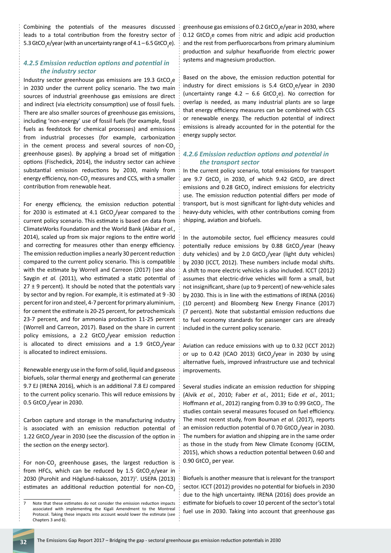Combining the potentials of the measures discussed leads to a total contribution from the forestry sector of 5.3 GtCO<sub>2</sub>e/year (with an uncertainty range of 4.1 – 6.5 GtCO<sub>2</sub>e).

#### *4.2.5 Emission reduction options and potential in the industry sector*

Industry sector greenhouse gas emissions are 19.3 GtCO<sub>2</sub>e in 2030 under the current policy scenario. The two main sources of industrial greenhouse gas emissions are direct and indirect (via electricity consumption) use of fossil fuels. There are also smaller sources of greenhouse gas emissions, including 'non-energy' use of fossil fuels (for example, fossil fuels as feedstock for chemical processes) and emissions from industrial processes (for example, carbonization in the cement process and several sources of non- $CO<sub>2</sub>$ greenhouse gases). By applying a broad set of mitigation options (Fischedick, 2014), the industry sector can achieve substantial emission reductions by 2030, mainly from energy efficiency, non-CO<sub>2</sub> measures and CCS, with a smaller contribution from renewable heat.

For energy efficiency, the emission reduction potential for 2030 is estimated at 4.1 GtCO<sub>2</sub>/year compared to the current policy scenario. This estimate is based on data from ClimateWorks Foundation and the World Bank (Akbar *et al.*, 2014), scaled up from six major regions to the entire world and correcting for measures other than energy efficiency. The emission reduction implies a nearly 30 percent reduction compared to the current policy scenario. This is compatible with the estimate by Worrell and Carreon (2017) (see also Saygin *et al.* (2011), who estimated a static potential of  $27 \pm 9$  percent). It should be noted that the potentials vary by sector and by region. For example, it is estimated at 9 -30 percent for iron and steel, 4-7 percent for primary aluminium, for cement the estimate is 20-25 percent, for petrochemicals 23-7 percent, and for ammonia production 11-25 percent (Worrell and Carreon, 2017). Based on the share in current policy emissions, a 2.2 GtCO<sub>2</sub>/year emission reduction is allocated to direct emissions and a 1.9  $GtCO_{2}/year$ is allocated to indirect emissions.

Renewable energy use in the form of solid, liquid and gaseous biofuels, solar thermal energy and geothermal can generate 9.7 EJ (IRENA 2016), which is an additional 7.8 EJ compared to the current policy scenario. This will reduce emissions by 0.5 GtCO<sub>2</sub>/year in 2030.

Carbon capture and storage in the manufacturing industry is associated with an emission reduction potential of 1.22  $GtCO_2$ /year in 2030 (see the discussion of the option in the section on the energy sector).

For non-CO<sub>2</sub> greenhouse gases, the largest reduction is from HFCs, which can be reduced by 1.5 GtCO<sub>2</sub>e/year in 2030 (Purohit and Höglund-Isaksson, 2017)<sup>7</sup>. USEPA (2013) estimates an additional reduction potential for non- $CO<sub>2</sub>$ 

greenhouse gas emissions of 0.2 GtCO<sub>2</sub>e/year in 2030, where  $0.12$  GtCO<sub>2</sub>e comes from nitric and adipic acid production and the rest from perfluorocarbons from primary aluminium production and sulphur hexafluoride from electric power systems and magnesium production.

Based on the above, the emission reduction potential for industry for direct emissions is 5.4 GtCO<sub>2</sub>e/year in 2030 (uncertainty range  $4.2 - 6.6$  GtCO<sub>2</sub>e). No correction for overlap is needed, as many industrial plants are so large that energy efficiency measures can be combined with CCS or renewable energy. The reduction potential of indirect emissions is already accounted for in the potential for the energy supply sector.

#### *4.2.6 Emission reduction options and potential in the transport sector*

In the current policy scenario, total emissions for transport are 9.7 GtCO<sub>2</sub> in 2030, of which 9.42 GtCO<sub>2</sub> are direct emissions and  $0.28$  GtCO<sub>2</sub> indirect emissions for electricity use. The emission reduction potential differs per mode of transport, but is most significant for light-duty vehicles and heavy-duty vehicles, with other contributions coming from shipping, aviation and biofuels.

In the automobile sector, fuel efficiency measures could potentially reduce emissions by 0.88 GtCO<sub>2</sub>/year (heavy duty vehicles) and by 2.0  $GtCO<sub>2</sub>/year$  (light duty vehicles) by 2030 (ICCT, 2012). These numbers include modal shifts. A shift to more electric vehicles is also included. ICCT (2012) assumes that electric-drive vehicles will form a small, but not insignificant, share (up to 9 percent) of new-vehicle sales by 2030. This is in line with the estimations of IRENA (2016) (10 percent) and Bloomberg New Energy Finance (2017) (7 percent). Note that substantial emission reductions due to fuel economy standards for passenger cars are already included in the current policy scenario.

Aviation can reduce emissions with up to 0.32 (ICCT 2012) or up to 0.42 (ICAO 2013) GtCO<sub>2</sub>/year in 2030 by using alternative fuels, improved infrastructure use and technical improvements.

Several studies indicate an emission reduction for shipping (Alvik *et al.*, 2010; Faber *et al.*, 2011; Eide *et al.*, 2011; Hoffmann *et al.*, 2012) ranging from 0.39 to 0.99 GtCO<sub>2</sub>. The studies contain several measures focused on fuel efficiency. The most recent study, from Bouman *et al.* (2017), reports an emission reduction potential of 0.70 GtCO<sub>2</sub>/year in 2030. The numbers for aviation and shipping are in the same order as those in the study from New Climate Economy (GCEM, 2015), which shows a reduction potential between 0.60 and 0.90 GtCO<sub>2</sub> per year.

Biofuels is another measure that is relevant for the transport sector. ICCT (2012) provides no potential for biofuels in 2030 due to the high uncertainty. IRENA (2016) does provide an estimate for biofuels to cover 10 percent of the sector's total fuel use in 2030. Taking into account that greenhouse gas

<sup>7</sup> Note that these estimates do not consider the emission reduction impacts associated with implementing the Kigali Amendment to the Montreal Protocol. Taking these impacts into account would lower the estimate (see Chapters 3 and 6).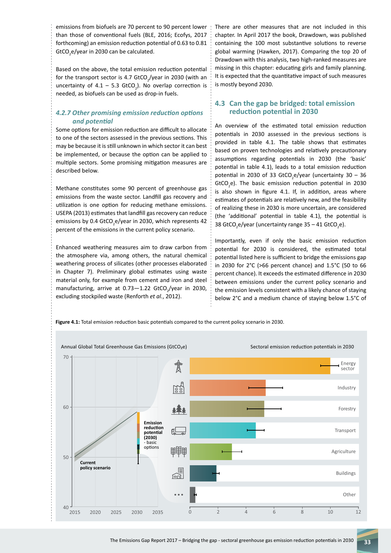emissions from biofuels are 70 percent to 90 percent lower than those of conventional fuels (BLE, 2016; Ecofys, 2017 forthcoming) an emission reduction potential of 0.63 to 0.81  $GtCO_2$ e/year in 2030 can be calculated.

Based on the above, the total emission reduction potential for the transport sector is 4.7 GtCO<sub>2</sub>/year in 2030 (with an uncertainty of  $4.1 - 5.3$  GtCO<sub>2</sub>). No overlap correction is needed, as biofuels can be used as drop-in fuels.

# *4.2.7 Other promising emission reduction options and potential*

Some options for emission reduction are difficult to allocate to one of the sectors assessed in the previous sections. This may be because it is still unknown in which sector it can best be implemented, or because the option can be applied to multiple sectors. Some promising mitigation measures are described below.

Methane constitutes some 90 percent of greenhouse gas emissions from the waste sector. Landfill gas recovery and utilization is one option for reducing methane emissions. USEPA (2013) estimates that landfill gas recovery can reduce emissions by 0.4 GtCO<sub>2</sub>e/year in 2030, which represents 42 percent of the emissions in the current policy scenario.

Enhanced weathering measures aim to draw carbon from the atmosphere via, among others, the natural chemical weathering process of silicates (other processes elaborated in Chapter 7). Preliminary global estimates using waste material only, for example from cement and iron and steel manufacturing, arrive at  $0.73 - 1.22$  GtCO<sub>2</sub>/year in 2030, excluding stockpiled waste (Renforth *et al.*, 2012).

There are other measures that are not included in this chapter. In April 2017 the book, Drawdown, was published containing the 100 most substantive solutions to reverse global warming (Hawken, 2017). Comparing the top 20 of Drawdown with this analysis, two high-ranked measures are missing in this chapter: educating girls and family planning. It is expected that the quantitative impact of such measures is mostly beyond 2030.

## **4.3 Can the gap be bridged: total emission reduction potential in 2030**

An overview of the estimated total emission reduction potentials in 2030 assessed in the previous sections is provided in table 4.1. The table shows that estimates based on proven technologies and relatively precautionary assumptions regarding potentials in 2030 (the 'basic' potential in table 4.1), leads to a total emission reduction potential in 2030 of 33  $GtCO<sub>2</sub>e/year$  (uncertainty 30 – 36 GtCO<sub>2</sub>e). The basic emission reduction potential in 2030 is also shown in figure 4.1. If, in addition, areas where estimates of potentials are relatively new, and the feasibility of realizing these in 2030 is more uncertain, are considered (the 'additional' potential in table 4.1), the potential is 38 GtCO<sub>2</sub>e/year (uncertainty range 35 – 41 GtCO<sub>2</sub>e).

Importantly, even if only the basic emission reduction potential for 2030 is considered, the estimated total potential listed here is sufficient to bridge the emissions gap in 2030 for 2°C (>66 percent chance) and 1.5°C (50 to 66 percent chance). It exceeds the estimated difference in 2030 between emissions under the current policy scenario and the emission levels consistent with a likely chance of staying below 2°C and a medium chance of staying below 1.5°C of

**Figure 4.1:** Total emission reduction basic potentials compared to the current policy scenario in 2030.

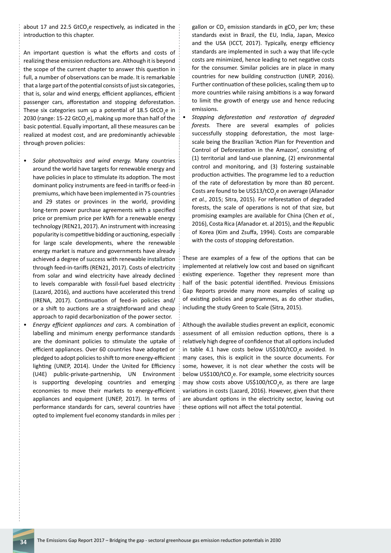about 17 and 22.5  $GtCO<sub>2</sub>e$  respectively, as indicated in the introduction to this chapter.

An important question is what the efforts and costs of realizing these emission reductions are. Although it is beyond the scope of the current chapter to answer this question in full, a number of observations can be made. It is remarkable that a large part of the potential consists of just six categories, that is, solar and wind energy, efficient appliances, efficient passenger cars, afforestation and stopping deforestation. These six categories sum up a potential of 18.5 GtCO<sub>2</sub>e in 2030 (range: 15-22 GtCO<sub>2</sub>e), making up more than half of the basic potential. Equally important, all these measures can be realized at modest cost, and are predominantly achievable through proven policies:

- *Solar photovoltaics and wind energy.* Many countries around the world have targets for renewable energy and have policies in place to stimulate its adoption. The most dominant policy instruments are feed-in tariffs or feed-in premiums, which have been implemented in 75 countries and 29 states or provinces in the world, providing long-term power purchase agreements with a specified price or premium price per kWh for a renewable energy technology (REN21, 2017). An instrument with increasing popularity is competitive bidding or auctioning, especially for large scale developments, where the renewable energy market is mature and governments have already achieved a degree of success with renewable installation through feed-in-tariffs (REN21, 2017). Costs of electricity from solar and wind electricity have already declined to levels comparable with fossil-fuel based electricity (Lazard, 2016), and auctions have accelerated this trend (IRENA, 2017). Continuation of feed-in policies and/ or a shift to auctions are a straightforward and cheap approach to rapid decarbonization of the power sector.
- *Energy efficient appliances and cars.* A combination of labelling and minimum energy performance standards are the dominant policies to stimulate the uptake of efficient appliances. Over 60 countries have adopted or pledged to adopt policies to shift to more energy-efficient lighting (UNEP, 2014). Under the United for Efficiency (U4E) public-private-partnership, UN Environment is supporting developing countries and emerging economies to move their markets to energy-efficient appliances and equipment (UNEP, 2017). In terms of performance standards for cars, several countries have opted to implement fuel economy standards in miles per

gallon or CO<sub>2</sub> emission standards in gCO<sub>2</sub> per km; these standards exist in Brazil, the EU, India, Japan, Mexico and the USA (ICCT, 2017). Typically, energy efficiency standards are implemented in such a way that life-cycle costs are minimized, hence leading to net negative costs for the consumer. Similar policies are in place in many countries for new building construction (UNEP, 2016). Further continuation of these policies, scaling them up to more countries while raising ambitions is a way forward to limit the growth of energy use and hence reducing emissions.

• *Stopping deforestation and restoration of degraded forests.* There are several examples of policies successfully stopping deforestation, the most largescale being the Brazilian 'Action Plan for Prevention and Control of Deforestation in the Amazon', consisting of (1) territorial and land-use planning, (2) environmental control and monitoring, and (3) fostering sustainable production activities. The programme led to a reduction of the rate of deforestation by more than 80 percent. Costs are found to be US\$13/tCO<sub>2</sub>e on average (Afanador *et al.*, 2015; Sitra, 2015). For reforestation of degraded forests, the scale of operations is not of that size, but promising examples are available for China (Chen *et al.*, 2016), Costa Rica (Afanador et. al 2015), and the Republic of Korea (Kim and Zsuffa, 1994). Costs are comparable with the costs of stopping deforestation.

These are examples of a few of the options that can be implemented at relatively low cost and based on significant existing experience. Together they represent more than half of the basic potential identified. Previous Emissions Gap Reports provide many more examples of scaling up of existing policies and programmes, as do other studies, including the study Green to Scale (Sitra, 2015).

Although the available studies prevent an explicit, economic assessment of all emission reduction options, there is a relatively high degree of confidence that all options included in table 4.1 have costs below US\$100/tCO<sub>2</sub>e avoided. In many cases, this is explicit in the source documents. For some, however, it is not clear whether the costs will be below US\$100/tCO<sub>2</sub>e. For example, some electricity sources may show costs above US\$100/tCO<sub>2</sub>e, as there are large variations in costs (Lazard, 2016). However, given that there are abundant options in the electricity sector, leaving out these options will not affect the total potential.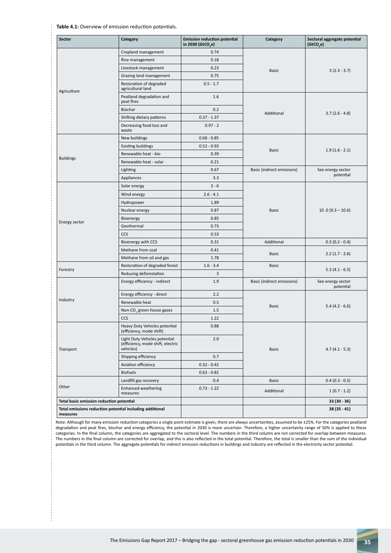**Table 4.1:** Overview of emission reduction potentials.

| Sector                                                               | Category                                                                        | <b>Emission reduction potential</b><br>in 2030 (GtCO <sub>2</sub> e) | Category                   | Sectoral aggregate potential<br>(GtCO,e) |
|----------------------------------------------------------------------|---------------------------------------------------------------------------------|----------------------------------------------------------------------|----------------------------|------------------------------------------|
| Agriculture                                                          | Cropland management                                                             | 0.74                                                                 | <b>Basic</b>               | $3(2.3 - 3.7)$                           |
|                                                                      | Rice management                                                                 | 0.18                                                                 |                            |                                          |
|                                                                      | Livestock management                                                            | 0.23                                                                 |                            |                                          |
|                                                                      | Grazing land management                                                         | 0.75                                                                 |                            |                                          |
|                                                                      | Restoration of degraded<br>agricultural land                                    | $0.5 - 1.7$                                                          |                            |                                          |
|                                                                      | Peatland degradation and<br>peat fires                                          | 1.6                                                                  | Additional                 | $3.7(2.6 - 4.8)$                         |
|                                                                      | Biochar                                                                         | 0.2                                                                  |                            |                                          |
|                                                                      | Shifting dietary patterns                                                       | $0.37 - 1.37$                                                        |                            |                                          |
|                                                                      | Decreasing food loss and<br>waste                                               | $0.97 - 2$                                                           |                            |                                          |
| <b>Buildings</b>                                                     | New buildings                                                                   | $0.68 - 0.85$                                                        | <b>Basic</b>               | $1.9(1.6 - 2.1)$                         |
|                                                                      | <b>Existing buildings</b>                                                       | $0.52 - 0.93$                                                        |                            |                                          |
|                                                                      | Renewable heat - bio                                                            | 0.39                                                                 |                            |                                          |
|                                                                      | Renewable heat - solar                                                          | 0.21                                                                 |                            |                                          |
|                                                                      | Lighting                                                                        | 0.67                                                                 | Basic (indirect emissions) | See energy sector<br>potential           |
|                                                                      | Appliances                                                                      | 3.3                                                                  |                            |                                          |
| Energy sector                                                        | Solar energy                                                                    | $3 - 6$                                                              | <b>Basic</b>               | $10.0(9.3 - 10.6)$                       |
|                                                                      | Wind energy                                                                     | $2.6 - 4.1$                                                          |                            |                                          |
|                                                                      | Hydropower                                                                      | 1.89                                                                 |                            |                                          |
|                                                                      | Nuclear energy                                                                  | 0.87                                                                 |                            |                                          |
|                                                                      | Bioenergy                                                                       | 0.85                                                                 |                            |                                          |
|                                                                      | Geothermal                                                                      | 0.73                                                                 |                            |                                          |
|                                                                      | CCS                                                                             | 0.53                                                                 |                            |                                          |
|                                                                      | Bioenergy with CCS                                                              | 0.31                                                                 | Additional                 | $0.3(0.2 - 0.4)$                         |
|                                                                      | Methane from coal                                                               | 0.41                                                                 |                            |                                          |
|                                                                      | Methane from oil and gas                                                        | 1.78                                                                 | <b>Basic</b>               | $2.2(1.7 - 2.6)$                         |
| Forestry                                                             | Restoration of degraded forest                                                  | $1.6 - 3.4$                                                          | <b>Basic</b>               | $5.3(4.1 - 6.5)$                         |
|                                                                      | Reducing deforestation                                                          | 3                                                                    |                            |                                          |
| Industry                                                             | Energy efficiency - indirect                                                    | 1.9                                                                  | Basic (indirect emissions) | See energy sector<br>potential           |
|                                                                      | Energy efficiency - direct                                                      | 2.2                                                                  | <b>Basic</b>               | $5.4(4.2 - 6.6)$                         |
|                                                                      | Renewable heat                                                                  | 0.5                                                                  |                            |                                          |
|                                                                      | Non-CO <sub>,</sub> green house gases                                           | 1.5                                                                  |                            |                                          |
|                                                                      | CCS                                                                             | 1.22                                                                 |                            |                                          |
| Transport                                                            | Heavy Duty Vehicles potential<br>(efficiency, mode shift)                       | 0.88                                                                 | <b>Basic</b>               | $4.7(4.1 - 5.3)$                         |
|                                                                      | Light Duty Vehicles potential<br>(efficiency, mode shift, electric<br>vehicles) | 2.0                                                                  |                            |                                          |
|                                                                      | Shipping efficiency                                                             | 0.7                                                                  |                            |                                          |
|                                                                      | Aviation efficiency                                                             | $0.32 - 0.42$                                                        |                            |                                          |
|                                                                      | <b>Biofuels</b>                                                                 | $0.63 - 0.81$                                                        |                            |                                          |
|                                                                      | Landfill gas recovery                                                           | 0.4                                                                  | <b>Basic</b>               | $0.4(0.3 - 0.5)$                         |
| Other                                                                | <b>Enhanced weathering</b><br>measures                                          | $0.73 - 1.22$                                                        | Additional                 | $1(0.7 - 1.2)$                           |
| Total basic emission reduction potential                             |                                                                                 |                                                                      |                            | $33(30 - 36)$                            |
| Total emissions reduction potential including additional<br>measures |                                                                                 |                                                                      |                            | 38 (35 - 41)                             |

Note: Although for many emission reduction categories a single point estimate is given, there are always uncertainties, assumed to be ±25%. For the categories peatland degradation and peat fires, biochar and energy efficiency, the potential in 2030 is more uncertain. Therefore, a higher uncertainty range of 50% is applied to these categories. In the final column, the categories are aggregated to the sectoral level. The numbers in the third column are not corrected for overlap between measures. The numbers in the final column are corrected for overlap, and this is also reflected in the total potential. Therefore, the total is smaller than the sum of the individual potentials in the third column. The aggregate potentials for indirect emission reductions in buildings and industry are reflected in the electricity sector potential.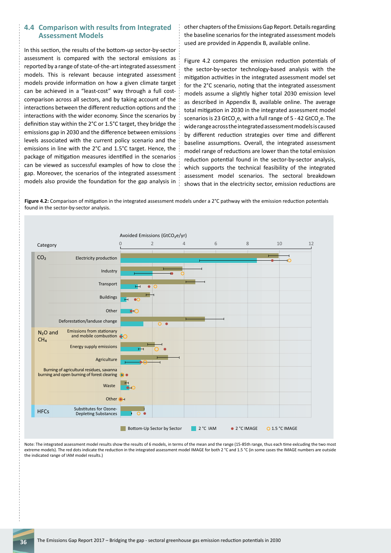#### **4.4 Comparison with results from Integrated Assessment Models**

In this section, the results of the bottom-up sector-by-sector assessment is compared with the sectoral emissions as reported by a range of state-of-the-art integrated assessment models. This is relevant because integrated assessment models provide information on how a given climate target can be achieved in a "least-cost" way through a full costcomparison across all sectors, and by taking account of the interactions between the different reduction options and the interactions with the wider economy. Since the scenarios by definition stay within the 2°C or 1.5°C target, they bridge the emissions gap in 2030 and the difference between emissions levels associated with the current policy scenario and the emissions in line with the 2°C and 1.5°C target. Hence, the package of mitigation measures identified in the scenarios can be viewed as successful examples of how to close the gap. Moreover, the scenarios of the integrated assessment models also provide the foundation for the gap analysis in other chapters of the Emissions Gap Report. Details regarding the baseline scenarios for the integrated assessment models used are provided in Appendix B, available online.

Figure 4.2 compares the emission reduction potentials of the sector-by-sector technology-based analysis with the mitigation activities in the integrated assessment model set for the 2°C scenario, noting that the integrated assessment models assume a slightly higher total 2030 emission level as described in Appendix B, available online. The average total mitigation in 2030 in the integrated assessment model scenarios is 23 GtCO<sub>2</sub>e, with a full range of 5 - 42 GtCO<sub>2</sub>e. The wide range across the integrated assessment models is caused by different reduction strategies over time and different baseline assumptions. Overall, the integrated assessment model range of reductions are lower than the total emission reduction potential found in the sector-by-sector analysis, which supports the technical feasibility of the integrated assessment model scenarios. The sectoral breakdown shows that in the electricity sector, emission reductions are

**Figure 4.2:** Comparison of mitigation in the integrated assessment models under a 2°C pathway with the emission reduction potentials found in the sector-by-sector analysis.



Note: The integrated assessment model results show the results of 6 models, in terms of the mean and the range (15-85th range, thus each time exlcuding the two most extreme models). The red dots indicate the reduction in the integrated assessment model IMAGE for both 2 °C and 1.5 °C (in some cases the IMAGE numbers are outside the indicated range of IAM model results.)